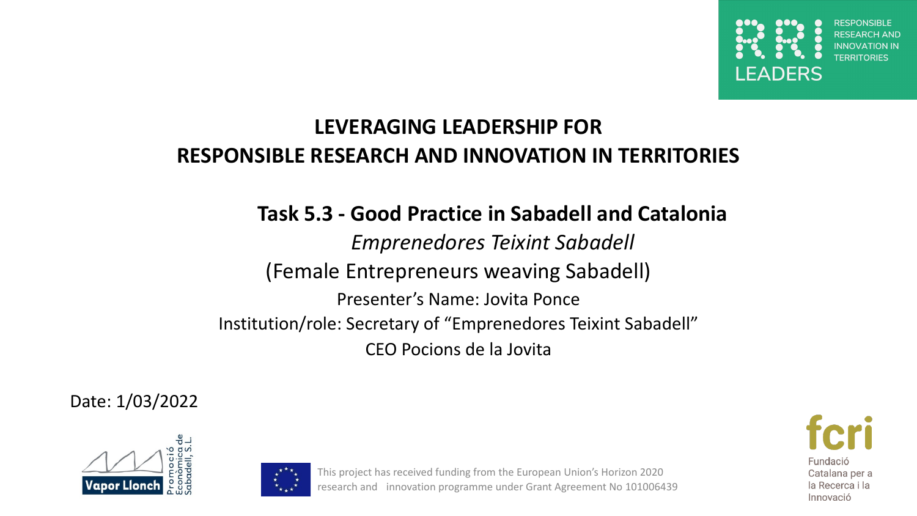

### **LEVERAGING LEADERSHIP FOR RESPONSIBLE RESEARCH AND INNOVATION IN TERRITORIES**

#### **Task 5.3 - Good Practice in Sabadell and Catalonia**

*Emprenedores Teixint Sabadell*  (Female Entrepreneurs weaving Sabadell) Presenter's Name: Jovita Ponce Institution/role: Secretary of "Emprenedores Teixint Sabadell" CEO Pocions de la Jovita

Date: 1/03/2022





Fundació Catalana per a la Recerca i la Innovació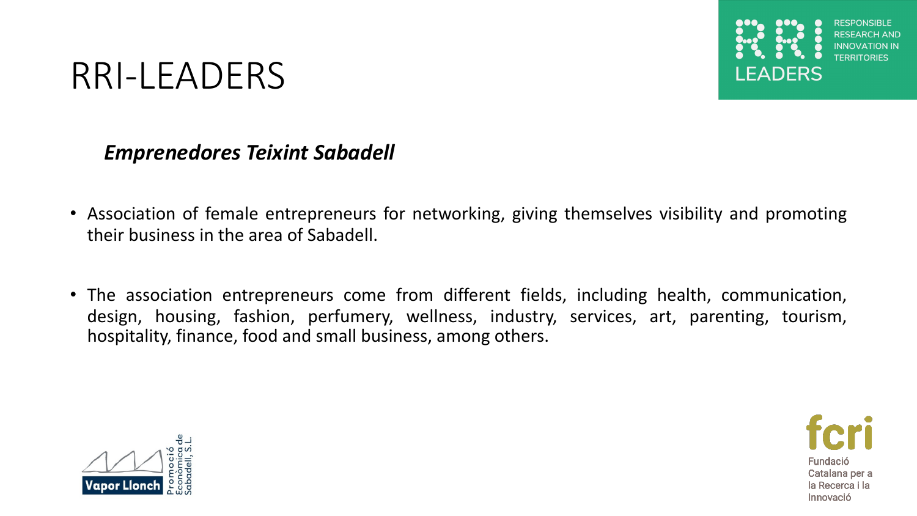

#### *Emprenedores Teixint Sabadell*

- Association of female entrepreneurs for networking, giving themselves visibility and promoting their business in the area of Sabadell.
- The association entrepreneurs come from different fields, including health, communication, design, housing, fashion, perfumery, wellness, industry, services, art, parenting, tourism, hospitality, finance, food and small business, among others.



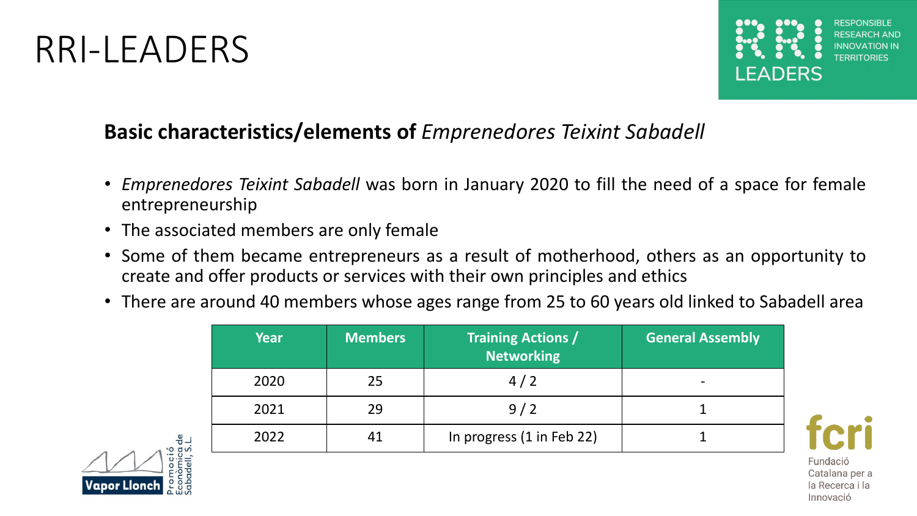

### **Basic characteristics/elements of** *Emprenedores Teixint Sabadell*

- *Emprenedores Teixint Sabadell* was born in January 2020 to fill the need of a space for female entrepreneurship
- The associated members are only female
- Some of them became entrepreneurs as a result of motherhood, others as an opportunity to create and offer products or services with their own principles and ethics
- There are around 40 members whose ages range from 25 to 60 years old linked to Sabadell area

| Year | <b>Members</b> | <b>Training Actions /</b><br><b>Networking</b> | <b>General Assembly</b> |
|------|----------------|------------------------------------------------|-------------------------|
| 2020 | 25             | 4/2                                            |                         |
| 2021 | 29             | 9/2                                            |                         |
| 2022 |                | In progress (1 in Feb 22)                      |                         |



Fundació Catalana per a la Recerca i la Innovació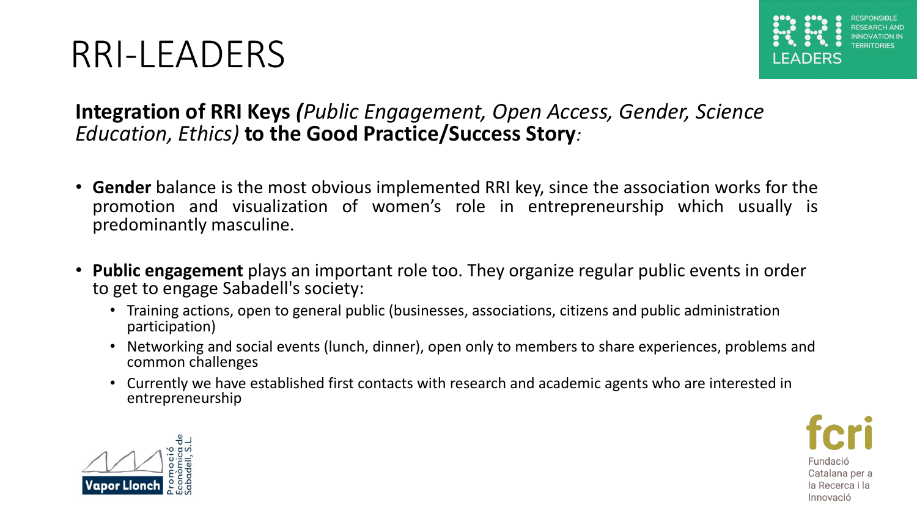

#### **Integration of RRI Keys** *(Public Engagement, Open Access, Gender, Science Education, Ethics)* **to the Good Practice/Success Story***:*

- **Gender** balance is the most obvious implemented RRI key, since the association works for the promotion and visualization of women's role in entrepreneurship which usually is predominantly masculine.
- **Public engagement** plays an important role too. They organize regular public events in order to get to engage Sabadell's society:
	- Training actions, open to general public (businesses, associations, citizens and public administration participation)
	- Networking and social events (lunch, dinner), open only to members to share experiences, problems and common challenges
	- Currently we have established first contacts with research and academic agents who are interested in entrepreneurship



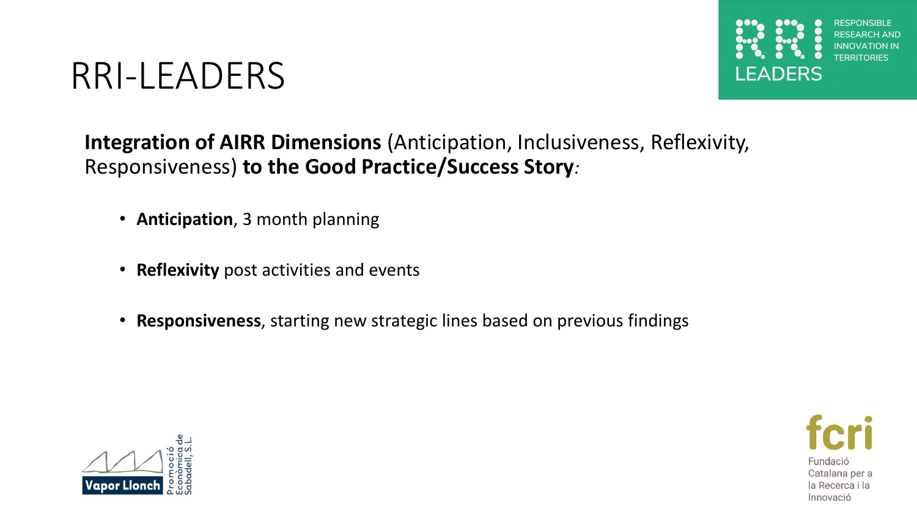

### **Integration of AIRR Dimensions** (Anticipation, Inclusiveness, Reflexivity, Responsiveness) **to the Good Practice/Success Story***:*

- **Anticipation**, 3 month planning
- **Reflexivity** post activities and events
- **Responsiveness**, starting new strategic lines based on previous findings